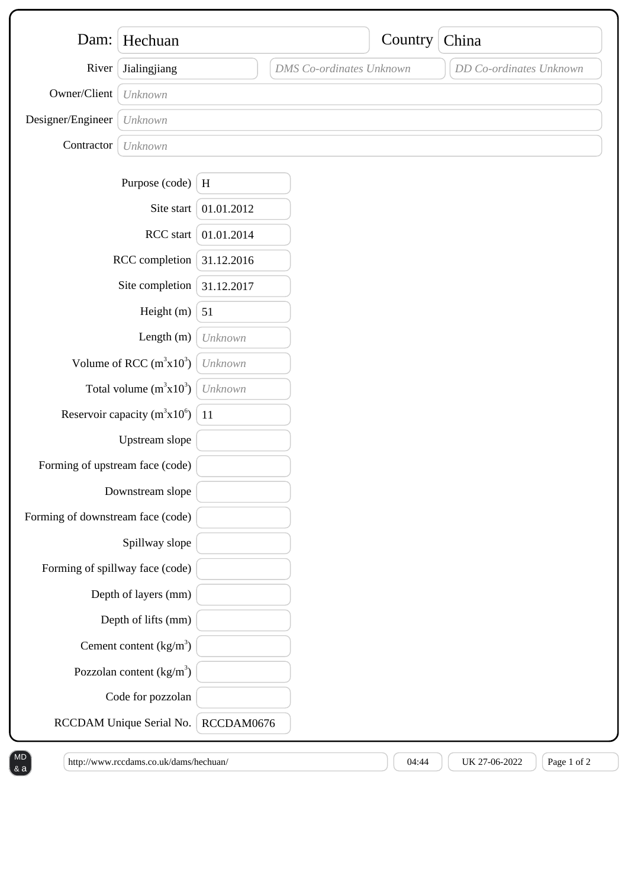| Dam:                              | Hechuan                           |            |                                 | Country | China                   |
|-----------------------------------|-----------------------------------|------------|---------------------------------|---------|-------------------------|
|                                   |                                   |            |                                 |         |                         |
| River                             | Jialingjiang                      |            | <b>DMS</b> Co-ordinates Unknown |         | DD Co-ordinates Unknown |
| Owner/Client                      | Unknown                           |            |                                 |         |                         |
| Designer/Engineer                 | Unknown                           |            |                                 |         |                         |
| Contractor                        | Unknown                           |            |                                 |         |                         |
|                                   | Purpose (code)                    | $\,$ H     |                                 |         |                         |
|                                   | Site start                        | 01.01.2012 |                                 |         |                         |
| RCC start                         |                                   | 01.01.2014 |                                 |         |                         |
| RCC completion                    |                                   | 31.12.2016 |                                 |         |                         |
| Site completion                   |                                   | 31.12.2017 |                                 |         |                         |
| Height (m)                        |                                   | 51         |                                 |         |                         |
|                                   | Length $(m)$                      | Unknown    |                                 |         |                         |
| Volume of RCC $(m^3x10^3)$        |                                   | Unknown    |                                 |         |                         |
|                                   | Total volume $(m^3x10^3)$         | Unknown    |                                 |         |                         |
|                                   | Reservoir capacity $(m^3x10^6)$   | 11         |                                 |         |                         |
|                                   | Upstream slope                    |            |                                 |         |                         |
| Forming of upstream face (code)   |                                   |            |                                 |         |                         |
| Downstream slope                  |                                   |            |                                 |         |                         |
| Forming of downstream face (code) |                                   |            |                                 |         |                         |
|                                   | Spillway slope                    |            |                                 |         |                         |
| Forming of spillway face (code)   |                                   |            |                                 |         |                         |
|                                   | Depth of layers (mm)              |            |                                 |         |                         |
|                                   | Depth of lifts (mm)               |            |                                 |         |                         |
|                                   | Cement content $(kg/m3)$          |            |                                 |         |                         |
|                                   | Pozzolan content $\frac{kg}{m^3}$ |            |                                 |         |                         |
|                                   | Code for pozzolan                 |            |                                 |         |                         |
|                                   | RCCDAM Unique Serial No.          | RCCDAM0676 |                                 |         |                         |

& a